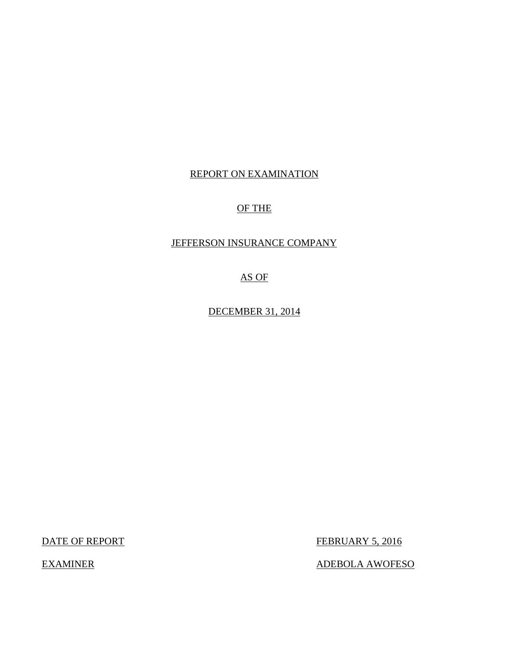## REPORT ON EXAMINATION

## OF THE

## JEFFERSON INSURANCE COMPANY

AS OF

DECEMBER 31, 2014

DATE OF REPORT FEBRUARY 5, 2016

EXAMINER ADEBOLA AWOFESO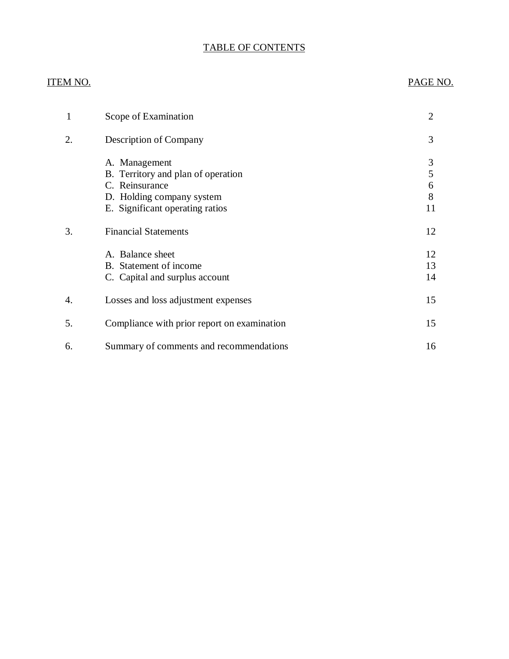## TABLE OF CONTENTS

## ITEM NO. PAGE NO.

| 1  | Scope of Examination                                                                                                                  | $\overline{2}$         |
|----|---------------------------------------------------------------------------------------------------------------------------------------|------------------------|
| 2. | Description of Company                                                                                                                | 3                      |
|    | A. Management<br>B. Territory and plan of operation<br>C. Reinsurance<br>D. Holding company system<br>E. Significant operating ratios | 3<br>5<br>6<br>8<br>11 |
| 3. | <b>Financial Statements</b>                                                                                                           | 12                     |
|    | A. Balance sheet<br>B. Statement of income<br>C. Capital and surplus account                                                          | 12<br>13<br>14         |
| 4. | Losses and loss adjustment expenses                                                                                                   | 15                     |
| 5. | Compliance with prior report on examination                                                                                           | 15                     |
| 6. | Summary of comments and recommendations                                                                                               | 16                     |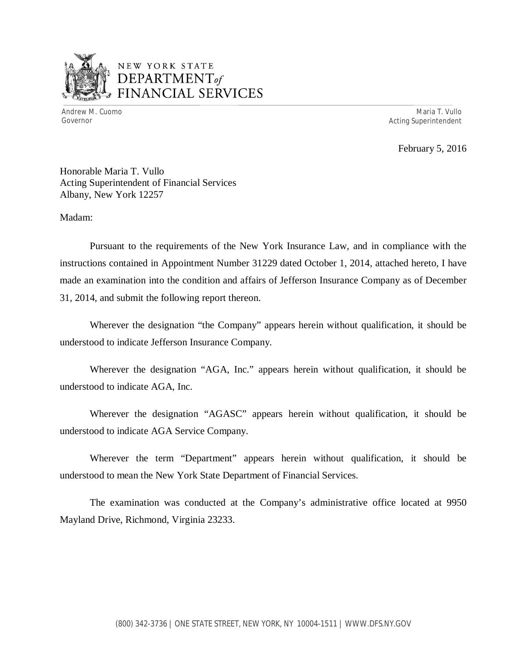

## NEW YORK STATE *DEPARTMENTof*  FINANCIAL SERVICES

Andrew M. Cuomo **Maria T. Vullo** Maria T. Vullo Maria T. Vullo Maria T. Vullo Maria T. Vullo Maria T. Vullo Maria T. Vullo Governor **Acting Superintendent Acting Superintendent** 

February 5, 2016

Honorable Maria T. Vullo Acting Superintendent of Financial Services Albany, New York 12257

Madam:

Pursuant to the requirements of the New York Insurance Law, and in compliance with the instructions contained in Appointment Number 31229 dated October 1, 2014, attached hereto, I have made an examination into the condition and affairs of Jefferson Insurance Company as of December 31, 2014, and submit the following report thereon.

Wherever the designation "the Company" appears herein without qualification, it should be understood to indicate Jefferson Insurance Company.

Wherever the designation "AGA, Inc." appears herein without qualification, it should be understood to indicate AGA, Inc.

Wherever the designation "AGASC" appears herein without qualification, it should be understood to indicate AGA Service Company.

Wherever the term "Department" appears herein without qualification, it should be understood to mean the New York State Department of Financial Services.

The examination was conducted at the Company's administrative office located at 9950 Mayland Drive, Richmond, Virginia 23233.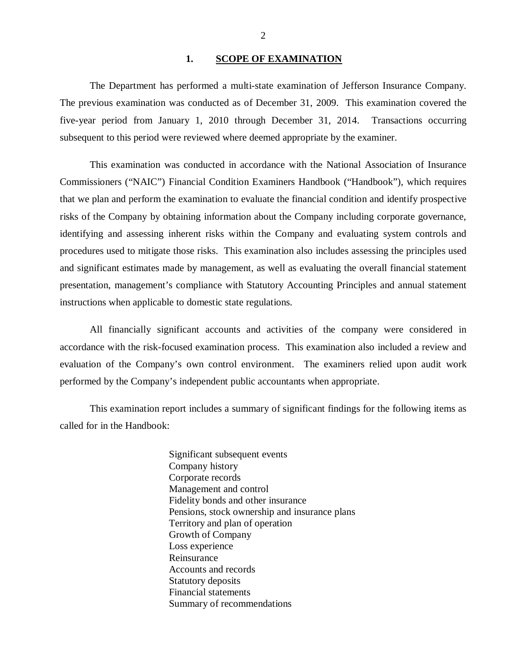#### 1. SCOPE OF EXAMINATION

<span id="page-3-0"></span>The Department has performed a multi-state examination of Jefferson Insurance Company. The previous examination was conducted as of December 31, 2009. This examination covered the five-year period from January 1, 2010 through December 31, 2014. Transactions occurring subsequent to this period were reviewed where deemed appropriate by the examiner.

This examination was conducted in accordance with the National Association of Insurance Commissioners ("NAIC") Financial Condition Examiners Handbook ("Handbook"), which requires that we plan and perform the examination to evaluate the financial condition and identify prospective risks of the Company by obtaining information about the Company including corporate governance, identifying and assessing inherent risks within the Company and evaluating system controls and procedures used to mitigate those risks. This examination also includes assessing the principles used and significant estimates made by management, as well as evaluating the overall financial statement presentation, management's compliance with Statutory Accounting Principles and annual statement instructions when applicable to domestic state regulations.

All financially significant accounts and activities of the company were considered in accordance with the risk-focused examination process. This examination also included a review and evaluation of the Company's own control environment. The examiners relied upon audit work performed by the Company's independent public accountants when appropriate.

This examination report includes a summary of significant findings for the following items as called for in the Handbook:

> Significant subsequent events Company history Corporate records Management and control Fidelity bonds and other insurance Pensions, stock ownership and insurance plans Territory and plan of operation Growth of Company Loss experience Reinsurance Accounts and records Statutory deposits Financial statements Summary of recommendations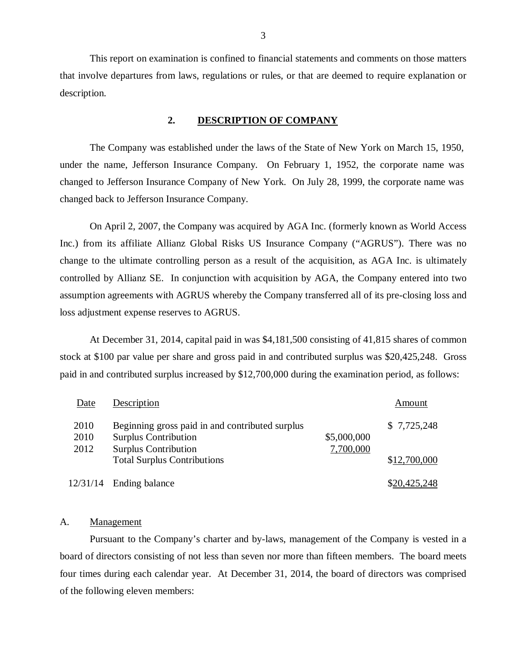This report on examination is confined to financial statements and comments on those matters that involve departures from laws, regulations or rules, or that are deemed to require explanation or description.

#### **2. DESCRIPTION OF COMPANY**

The Company was established under the laws of the State of New York on March 15, 1950, under the name, Jefferson Insurance Company. On February 1, 1952, the corporate name was changed to Jefferson Insurance Company of New York. On July 28, 1999, the corporate name was changed back to Jefferson Insurance Company.

On April 2, 2007, the Company was acquired by AGA Inc. (formerly known as World Access Inc.) from its affiliate Allianz Global Risks US Insurance Company ("AGRUS"). There was no change to the ultimate controlling person as a result of the acquisition, as AGA Inc. is ultimately controlled by Allianz SE. In conjunction with acquisition by AGA, the Company entered into two assumption agreements with AGRUS whereby the Company transferred all of its pre-closing loss and loss adjustment expense reserves to AGRUS.

At December 31, 2014, capital paid in was \$4,181,500 consisting of 41,815 shares of common stock at \$100 par value per share and gross paid in and contributed surplus was \$20,425,248. Gross paid in and contributed surplus increased by \$12,700,000 during the examination period, as follows:

| Date                 | Description                                                                                                   |                          | Amount                       |
|----------------------|---------------------------------------------------------------------------------------------------------------|--------------------------|------------------------------|
| 2010<br>2010<br>2012 | Beginning gross paid in and contributed surplus<br><b>Surplus Contribution</b><br><b>Surplus Contribution</b> | \$5,000,000<br>7,700,000 | \$7,725,248                  |
| 12/31/14             | <b>Total Surplus Contributions</b><br>Ending balance                                                          |                          | \$12,700,000<br>\$20,425,248 |

#### A. Management

Pursuant to the Company's charter and by-laws, management of the Company is vested in a board of directors consisting of not less than seven nor more than fifteen members. The board meets four times during each calendar year. At December 31, 2014, the board of directors was comprised of the following eleven members: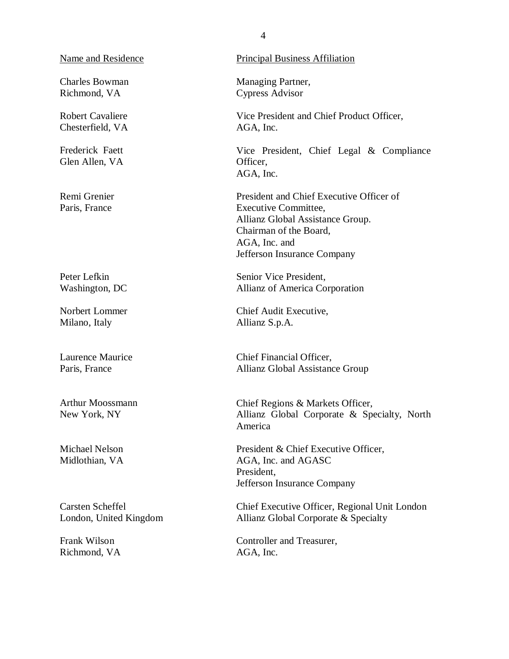Name and Residence

Charles Bowman Richmond, VA

Robert Cavaliere Chesterfield, VA

Frederick Faett Glen Allen, VA

Remi Grenier Paris, France

Peter Lefkin Washington, DC

Norbert Lommer Milano, Italy

Laurence Maurice Paris, France

Arthur Moossmann New York, NY

Michael Nelson Midlothian, VA

Carsten Scheffel London, United Kingdom

Frank Wilson Richmond, VA

#### Principal Business Affiliation

Managing Partner, Cypress Advisor

Vice President and Chief Product Officer, AGA, Inc.

Vice President, Chief Legal & Compliance Officer, AGA, Inc.

President and Chief Executive Officer of Executive Committee, Allianz Global Assistance Group. Chairman of the Board, AGA, Inc. and Jefferson Insurance Company

Senior Vice President, Allianz of America Corporation

Chief Audit Executive, Allianz S.p.A.

Chief Financial Officer, Allianz Global Assistance Group

Chief Regions & Markets Officer, Allianz Global Corporate & Specialty, North America

President & Chief Executive Officer, AGA, Inc. and AGASC President, Jefferson Insurance Company

Chief Executive Officer, Regional Unit London Allianz Global Corporate & Specialty

Controller and Treasurer, AGA, Inc.

4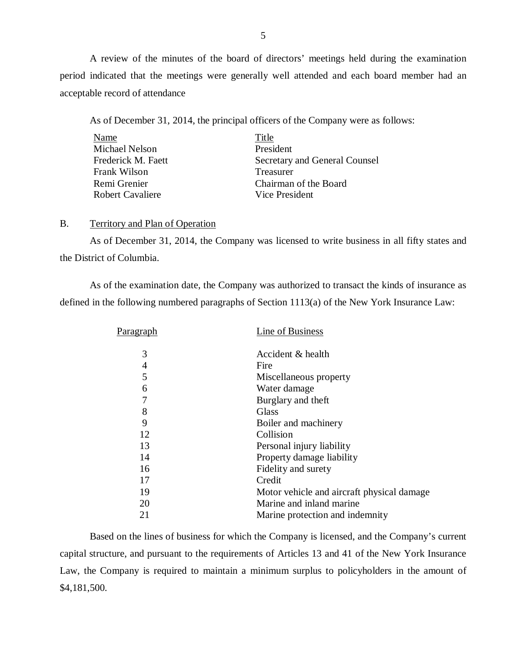A review of the minutes of the board of directors' meetings held during the examination period indicated that the meetings were generally well attended and each board member had an acceptable record of attendance

As of December 31, 2014, the principal officers of the Company were as follows:

| Name                    | Title                         |
|-------------------------|-------------------------------|
| <b>Michael Nelson</b>   | President                     |
| Frederick M. Faett      | Secretary and General Counsel |
| Frank Wilson            | Treasurer                     |
| Remi Grenier            | Chairman of the Board         |
| <b>Robert Cavaliere</b> | Vice President                |

#### B. Territory and Plan of Operation

As of December 31, 2014, the Company was licensed to write business in all fifty states and the District of Columbia.

As of the examination date, the Company was authorized to transact the kinds of insurance as defined in the following numbered paragraphs of Section 1113(a) of the New York Insurance Law:

| P <u>aragraph</u> | Line of Business                            |
|-------------------|---------------------------------------------|
| 3                 | Accident & health                           |
| 4                 | Fire                                        |
| 5                 | Miscellaneous property                      |
| 6                 | Water damage                                |
| 7                 | Burglary and theft                          |
| 8                 | <b>Glass</b>                                |
| 9                 | Boiler and machinery                        |
| 12                | Collision                                   |
| 13                | Personal injury liability                   |
| 14                | Property damage liability                   |
| 16                | Fidelity and surety                         |
| 17                | Credit                                      |
| 19                | Motor vehicle and aircraft physical damage. |
| 20                | Marine and inland marine                    |
| 21                | Marine protection and indemnity             |
|                   |                                             |

Based on the lines of business for which the Company is licensed, and the Company's current capital structure, and pursuant to the requirements of Articles 13 and 41 of the New York Insurance Law, the Company is required to maintain a minimum surplus to policyholders in the amount of \$4,181,500.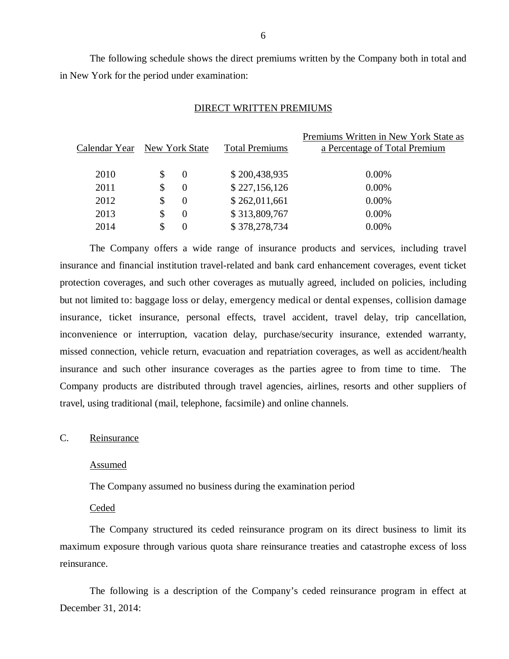The following schedule shows the direct premiums written by the Company both in total and in New York for the period under examination:

#### DIRECT WRITTEN PREMIUMS

| Calendar Year New York State |                | <b>Total Premiums</b> | Premiums Written in New York State as<br>a Percentage of Total Premium |
|------------------------------|----------------|-----------------------|------------------------------------------------------------------------|
| 2010                         | \$<br>$\theta$ | \$200,438,935         | $0.00\%$                                                               |
| 2011                         | \$<br>$\Omega$ | \$227,156,126         | $0.00\%$                                                               |
| 2012                         | \$<br>$\Omega$ | \$262,011,661         | $0.00\%$                                                               |
| 2013                         | \$<br>$\Omega$ | \$313,809,767         | 0.00%                                                                  |
| 2014                         | \$<br>$\theta$ | \$378,278,734         | $0.00\%$                                                               |
|                              |                |                       |                                                                        |

The Company offers a wide range of insurance products and services, including travel insurance and financial institution travel-related and bank card enhancement coverages, event ticket protection coverages, and such other coverages as mutually agreed, included on policies, including but not limited to: baggage loss or delay, emergency medical or dental expenses, collision damage insurance, ticket insurance, personal effects, travel accident, travel delay, trip cancellation, inconvenience or interruption, vacation delay, purchase/security insurance, extended warranty, missed connection, vehicle return, evacuation and repatriation coverages, as well as accident/health insurance and such other insurance coverages as the parties agree to from time to time. The Company products are distributed through travel agencies, airlines, resorts and other suppliers of travel, using traditional (mail, telephone, facsimile) and online channels.

#### C. Reinsurance

#### Assumed

The Company assumed no business during the examination period

#### **Ceded**

The Company structured its ceded reinsurance program on its direct business to limit its maximum exposure through various quota share reinsurance treaties and catastrophe excess of loss reinsurance.

The following is a description of the Company's ceded reinsurance program in effect at December 31, 2014: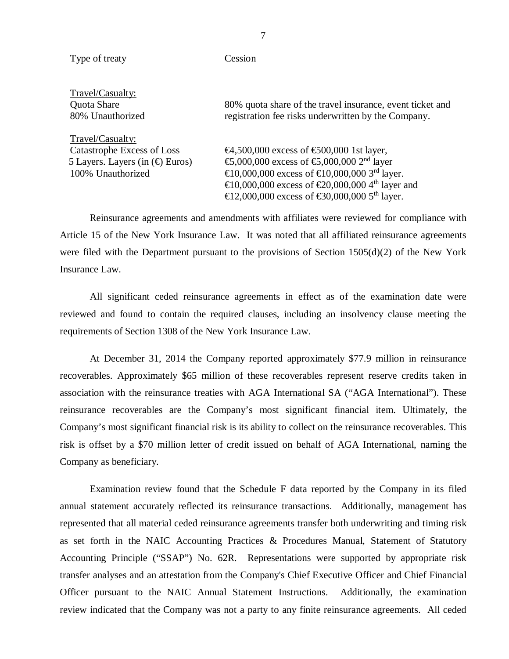#### Type of treaty Cession

Travel/Casualty:

Travel/Casualty:

Quota Share 80% quota share of the travel insurance, event ticket and 80% Unauthorized registration fee risks underwritten by the Company.

Catastrophe Excess of Loss  $\qquad \qquad \text{64,500,000 excess of } \text{6500,000}$  1st layer, 5 Layers. Layers (in  $(\bigoplus$  Euros)  $\bigoplus$ ,000,000 excess of  $\bigoplus$ ,000,000 2<sup>nd</sup> layer 100% Unauthorized  $\bigoplus_{n=0}^{\infty} 0.000,000$  excess of  $\bigoplus_{n=0}^{\infty} 0.000,000$  3<sup>rd</sup> layer. €10,000,000 excess of €20,000,000 4th layer and  $\text{ } \infty 12,000,000$  excess of  $\text{ } \infty 30,000,000$  5<sup>th</sup> layer.

Reinsurance agreements and amendments with affiliates were reviewed for compliance with Article 15 of the New York Insurance Law. It was noted that all affiliated reinsurance agreements were filed with the Department pursuant to the provisions of Section  $1505(d)(2)$  of the New York Insurance Law.

All significant ceded reinsurance agreements in effect as of the examination date were reviewed and found to contain the required clauses, including an insolvency clause meeting the requirements of Section 1308 of the New York Insurance Law.

At December 31, 2014 the Company reported approximately \$77.9 million in reinsurance recoverables. Approximately \$65 million of these recoverables represent reserve credits taken in association with the reinsurance treaties with AGA International SA ("AGA International"). These reinsurance recoverables are the Company's most significant financial item. Ultimately, the Company's most significant financial risk is its ability to collect on the reinsurance recoverables. This risk is offset by a \$70 million letter of credit issued on behalf of AGA International, naming the Company as beneficiary.

Examination review found that the Schedule F data reported by the Company in its filed annual statement accurately reflected its reinsurance transactions. Additionally, management has represented that all material ceded reinsurance agreements transfer both underwriting and timing risk as set forth in the NAIC Accounting Practices & Procedures Manual, Statement of Statutory Accounting Principle ("SSAP") No. 62R. Representations were supported by appropriate risk transfer analyses and an attestation from the Company's Chief Executive Officer and Chief Financial Officer pursuant to the NAIC Annual Statement Instructions. Additionally, the examination review indicated that the Company was not a party to any finite reinsurance agreements. All ceded

7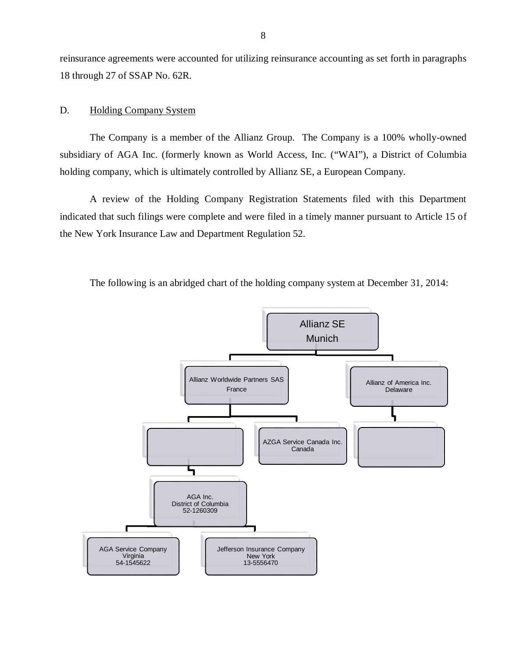<span id="page-9-0"></span>reinsurance agreements were accounted for utilizing reinsurance accounting as set forth in paragraphs 18 through 27 of SSAP No. 62R.

#### D. Holding Company System

The Company is a member of the Allianz Group. The Company is a 100% wholly-owned subsidiary of AGA Inc. (formerly known as World Access, Inc. ("WAI"), a District of Columbia holding company, which is ultimately controlled by Allianz SE, a European Company.

A review of the Holding Company Registration Statements filed with this Department indicated that such filings were complete and were filed in a timely manner pursuant to Article 15 of the New York Insurance Law and Department Regulation 52.



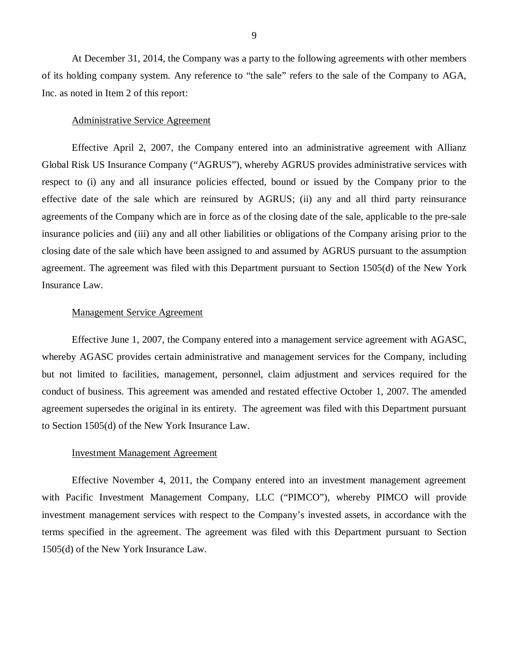At December 31, 2014, the Company was a party to the following agreements with other members of its holding company system. Any reference to "the sale" refers to the sale of the Company to AGA, Inc. as noted in Item 2 of this report:

#### Administrative Service Agreement

Effective April 2, 2007, the Company entered into an administrative agreement with Allianz Global Risk US Insurance Company ("AGRUS"), whereby AGRUS provides administrative services with respect to (i) any and all insurance policies effected, bound or issued by the Company prior to the effective date of the sale which are reinsured by AGRUS; (ii) any and all third party reinsurance agreements of the Company which are in force as of the closing date of the sale, applicable to the pre-sale insurance policies and (iii) any and all other liabilities or obligations of the Company arising prior to the closing date of the sale which have been assigned to and assumed by AGRUS pursuant to the assumption agreement. The agreement was filed with this Department pursuant to Section 1505(d) of the New York Insurance Law.

#### Management Service Agreement

Effective June 1, 2007, the Company entered into a management service agreement with AGASC, whereby AGASC provides certain administrative and management services for the Company, including but not limited to facilities, management, personnel, claim adjustment and services required for the conduct of business. This agreement was amended and restated effective October 1, 2007. The amended agreement supersedes the original in its entirety. The agreement was filed with this Department pursuant to Section 1505(d) of the New York Insurance Law.

#### Investment Management Agreement

Effective November 4, 2011, the Company entered into an investment management agreement with Pacific Investment Management Company, LLC ("PIMCO"), whereby PIMCO will provide investment management services with respect to the Company's invested assets, in accordance with the terms specified in the agreement. The agreement was filed with this Department pursuant to Section 1505(d) of the New York Insurance Law.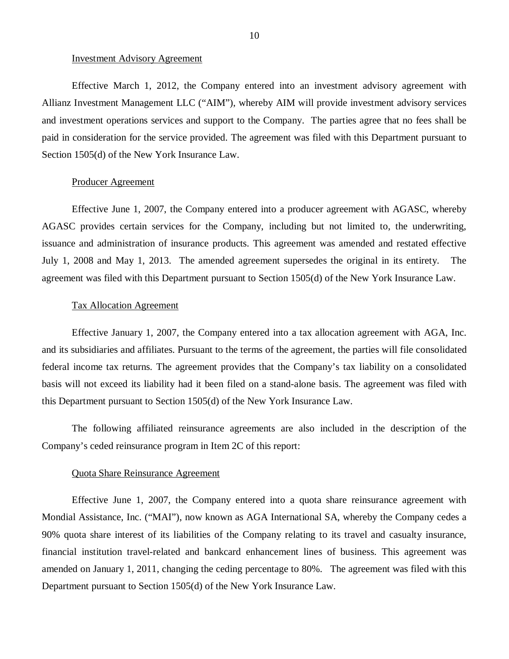### Investment Advisory Agreement

Effective March 1, 2012, the Company entered into an investment advisory agreement with Allianz Investment Management LLC ("AIM"), whereby AIM will provide investment advisory services and investment operations services and support to the Company. The parties agree that no fees shall be paid in consideration for the service provided. The agreement was filed with this Department pursuant to Section 1505(d) of the New York Insurance Law.

#### Producer Agreement

Effective June 1, 2007, the Company entered into a producer agreement with AGASC, whereby AGASC provides certain services for the Company, including but not limited to, the underwriting, issuance and administration of insurance products. This agreement was amended and restated effective July 1, 2008 and May 1, 2013. The amended agreement supersedes the original in its entirety. The agreement was filed with this Department pursuant to Section 1505(d) of the New York Insurance Law.

### Tax Allocation Agreement

Effective January 1, 2007, the Company entered into a tax allocation agreement with AGA, Inc. and its subsidiaries and affiliates. Pursuant to the terms of the agreement, the parties will file consolidated federal income tax returns. The agreement provides that the Company's tax liability on a consolidated basis will not exceed its liability had it been filed on a stand-alone basis. The agreement was filed with this Department pursuant to Section 1505(d) of the New York Insurance Law.

The following affiliated reinsurance agreements are also included in the description of the Company's ceded reinsurance program in Item 2C of this report:

#### Quota Share Reinsurance Agreement

Effective June 1, 2007, the Company entered into a quota share reinsurance agreement with Mondial Assistance, Inc. ("MAI"), now known as AGA International SA, whereby the Company cedes a 90% quota share interest of its liabilities of the Company relating to its travel and casualty insurance, financial institution travel-related and bankcard enhancement lines of business. This agreement was amended on January 1, 2011, changing the ceding percentage to 80%. The agreement was filed with this Department pursuant to Section 1505(d) of the New York Insurance Law.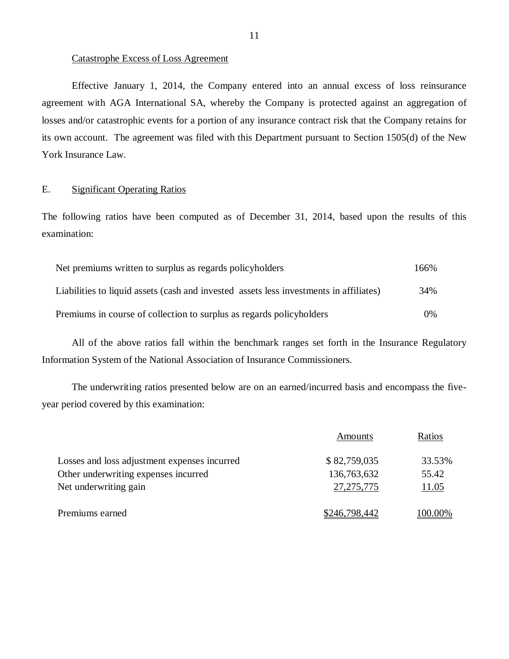#### <span id="page-12-0"></span>Catastrophe Excess of Loss Agreement

Effective January 1, 2014, the Company entered into an annual excess of loss reinsurance agreement with AGA International SA, whereby the Company is protected against an aggregation of losses and/or catastrophic events for a portion of any insurance contract risk that the Company retains for its own account. The agreement was filed with this Department pursuant to Section 1505(d) of the New York Insurance Law.

## E. Significant Operating Ratios

The following ratios have been computed as of December 31, 2014, based upon the results of this examination:

| Net premiums written to surplus as regards policyholders                               | 166%  |
|----------------------------------------------------------------------------------------|-------|
| Liabilities to liquid assets (cash and invested assets less investments in affiliates) | 34%   |
| Premiums in course of collection to surplus as regards policyholders                   | $0\%$ |

All of the above ratios fall within the benchmark ranges set forth in the Insurance Regulatory Information System of the National Association of Insurance Commissioners.

The underwriting ratios presented below are on an earned/incurred basis and encompass the fiveyear period covered by this examination:

|                                              | Amounts       | Ratios  |
|----------------------------------------------|---------------|---------|
| Losses and loss adjustment expenses incurred | \$82,759,035  | 33.53%  |
| Other underwriting expenses incurred         | 136,763,632   | 55.42   |
| Net underwriting gain                        | 27, 275, 775  | 11.05   |
| Premiums earned                              | \$246,798,442 | 100.00% |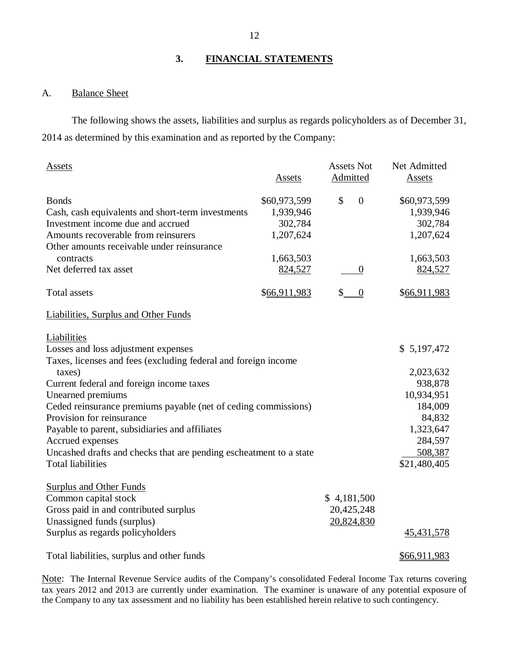### **3. FINANCIAL STATEMENTS**

### A. Balance Sheet

The following shows the assets, liabilities and surplus as regards policyholders as of December 31, 2014 as determined by this examination and as reported by the Company:

| <b>Assets</b>                                                      | <b>Assets</b> | <b>Assets Not</b><br>Admitted | Net Admitted<br>Assets |
|--------------------------------------------------------------------|---------------|-------------------------------|------------------------|
|                                                                    |               |                               |                        |
| <b>Bonds</b>                                                       | \$60,973,599  | \$<br>$\boldsymbol{0}$        | \$60,973,599           |
| Cash, cash equivalents and short-term investments                  | 1,939,946     |                               | 1,939,946              |
| Investment income due and accrued                                  | 302,784       |                               | 302,784                |
| Amounts recoverable from reinsurers                                | 1,207,624     |                               | 1,207,624              |
| Other amounts receivable under reinsurance                         |               |                               |                        |
| contracts                                                          | 1,663,503     |                               | 1,663,503              |
| Net deferred tax asset                                             | 824,527       | $\theta$                      | 824,527                |
| <b>Total assets</b>                                                | \$66,911,983  | \$<br>$\boldsymbol{0}$        | \$66,911,983           |
| Liabilities, Surplus and Other Funds                               |               |                               |                        |
| Liabilities                                                        |               |                               |                        |
| Losses and loss adjustment expenses                                |               |                               | \$5,197,472            |
| Taxes, licenses and fees (excluding federal and foreign income     |               |                               |                        |
| taxes)                                                             |               |                               | 2,023,632              |
| Current federal and foreign income taxes                           |               |                               | 938,878                |
| Unearned premiums                                                  |               |                               | 10,934,951             |
| Ceded reinsurance premiums payable (net of ceding commissions)     |               |                               | 184,009                |
| Provision for reinsurance                                          |               |                               | 84,832                 |
| Payable to parent, subsidiaries and affiliates                     |               |                               | 1,323,647              |
| Accrued expenses                                                   |               |                               | 284,597                |
| Uncashed drafts and checks that are pending escheatment to a state |               |                               | 508,387                |
| <b>Total liabilities</b>                                           |               |                               | \$21,480,405           |
| <b>Surplus and Other Funds</b>                                     |               |                               |                        |
| Common capital stock                                               |               | \$4,181,500                   |                        |
| Gross paid in and contributed surplus                              |               | 20,425,248                    |                        |
| Unassigned funds (surplus)                                         |               | 20,824,830                    |                        |
| Surplus as regards policyholders                                   |               |                               | 45, 431, 578           |
| Total liabilities, surplus and other funds                         |               |                               | \$66,911,983           |

Note: The Internal Revenue Service audits of the Company's consolidated Federal Income Tax returns covering tax years 2012 and 2013 are currently under examination. The examiner is unaware of any potential exposure of the Company to any tax assessment and no liability has been established herein relative to such contingency.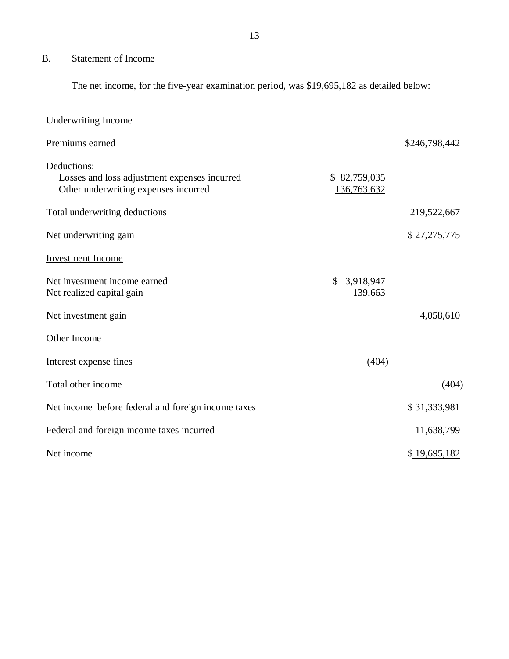## <span id="page-14-0"></span>B. Statement of Income

The net income, for the five-year examination period, was \$19,695,182 as detailed below:

| <b>Underwriting Income</b>                                                                          |                             |               |
|-----------------------------------------------------------------------------------------------------|-----------------------------|---------------|
| Premiums earned                                                                                     |                             | \$246,798,442 |
| Deductions:<br>Losses and loss adjustment expenses incurred<br>Other underwriting expenses incurred | \$82,759,035<br>136,763,632 |               |
| Total underwriting deductions                                                                       |                             | 219,522,667   |
| Net underwriting gain                                                                               |                             | \$27,275,775  |
| <b>Investment Income</b>                                                                            |                             |               |
| Net investment income earned<br>Net realized capital gain                                           | 3,918,947<br>\$<br>139,663  |               |
| Net investment gain                                                                                 |                             | 4,058,610     |
| Other Income                                                                                        |                             |               |
| Interest expense fines                                                                              | (404)                       |               |
| Total other income                                                                                  |                             | (404)         |
| Net income before federal and foreign income taxes                                                  |                             | \$31,333,981  |
| Federal and foreign income taxes incurred                                                           |                             | 11,638,799    |
| Net income                                                                                          |                             | \$19,695,182  |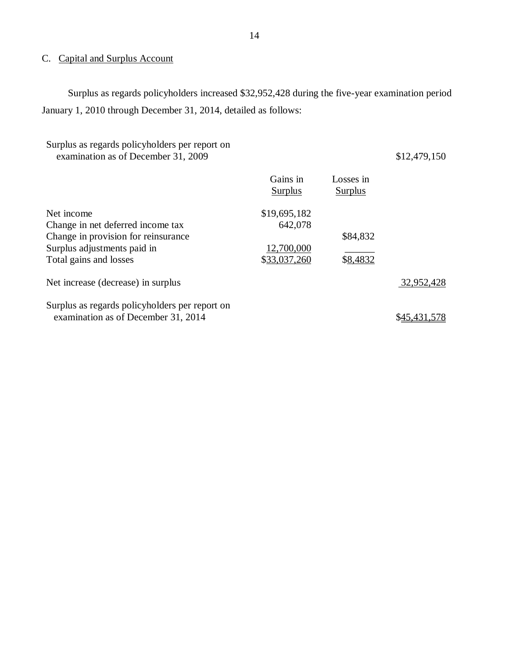## <span id="page-15-0"></span>C. Capital and Surplus Account

Surplus as regards policyholders increased \$32,952,428 during the five-year examination period January 1, 2010 through December 31, 2014, detailed as follows:

| Surplus as regards policyholders per report on<br>examination as of December 31, 2009                                                           |                                                       |                             | \$12,479,150 |
|-------------------------------------------------------------------------------------------------------------------------------------------------|-------------------------------------------------------|-----------------------------|--------------|
|                                                                                                                                                 | Gains in<br><b>Surplus</b>                            | Losses in<br><b>Surplus</b> |              |
| Net income<br>Change in net deferred income tax<br>Change in provision for reinsurance<br>Surplus adjustments paid in<br>Total gains and losses | \$19,695,182<br>642,078<br>12,700,000<br>\$33,037,260 | \$84,832<br>\$8,4832        |              |
| Net increase (decrease) in surplus                                                                                                              |                                                       |                             | 32,952,428   |
| Surplus as regards policyholders per report on<br>examination as of December 31, 2014                                                           |                                                       |                             | \$45.431     |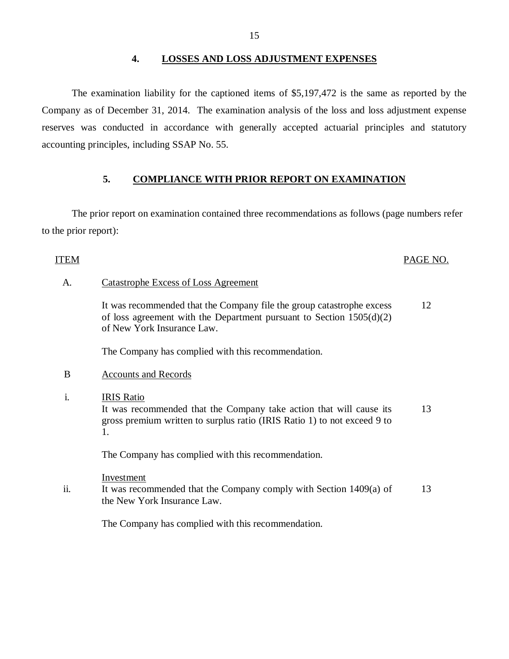#### **4. LOSSES AND LOSS ADJUSTMENT EXPENSES**

The examination liability for the captioned items of \$5,197,472 is the same as reported by the Company as of December 31, 2014. The examination analysis of the loss and loss adjustment expense reserves was conducted in accordance with generally accepted actuarial principles and statutory accounting principles, including SSAP No. 55.

### **5. COMPLIANCE WITH PRIOR REPORT ON EXAMINATION**

The prior report on examination contained three recommendations as follows (page numbers refer to the prior report):

#### ITEM PAGE NO.

#### A. Catastrophe Excess of Loss Agreement

It was recommended that the Company file the group catastrophe excess of loss agreement with the Department pursuant to Section 1505(d)(2) of New York Insurance Law. 12

The Company has complied with this recommendation.

#### B Accounts and Records

i. IRIS Ratio It was recommended that the Company take action that will cause its gross premium written to surplus ratio (IRIS Ratio 1) to not exceed 9 to 1. 13

The Company has complied with this recommendation.

Investment

ii. It was recommended that the Company comply with Section 1409(a) of the New York Insurance Law. 13

The Company has complied with this recommendation.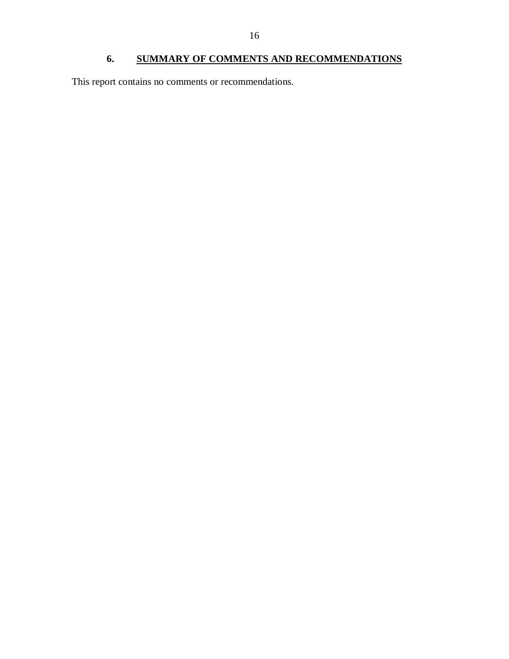## **6. SUMMARY OF COMMENTS AND RECOMMENDATIONS**

<span id="page-17-0"></span>This report contains no comments or recommendations.